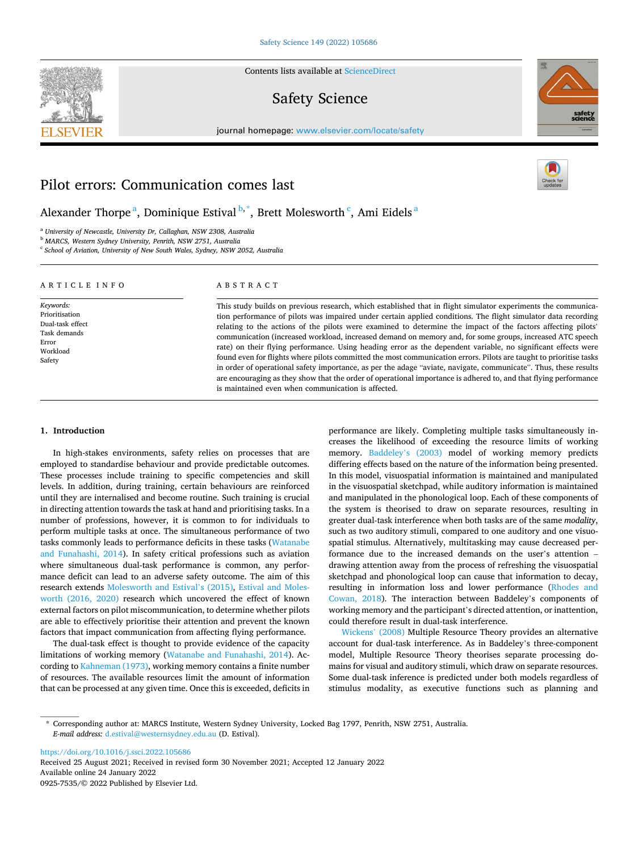**SEVIER** 

Contents lists available at [ScienceDirect](www.sciencedirect.com/science/journal/09257535)

# Safety Science



journal homepage: [www.elsevier.com/locate/safety](https://www.elsevier.com/locate/safety) 

## Pilot errors: Communication comes last

Alexander Thorpe <sup>a</sup>, Dominique Estival <sup>b,</sup> \*, Brett Molesworth <sup>c</sup>, Ami Eidels <sup>a</sup>

<sup>a</sup> *University of Newcastle, University Dr, Callaghan, NSW 2308, Australia* 

<sup>b</sup> *MARCS, Western Sydney University, Penrith, NSW 2751, Australia* 

<sup>c</sup> *School of Aviation, University of New South Wales, Sydney, NSW 2052, Australia* 

| ARTICLE INFO<br>Keywords:<br>Prioritisation<br>Dual-task effect<br>Task demands<br>Error<br>Workload<br>Safety | ABSTRACT                                                                                                                                                                                                                                                                                                                                                                                                                                                                                                                                                                                                                                                                                                                                                                                                                                                                                                                                                                                        |  |  |
|----------------------------------------------------------------------------------------------------------------|-------------------------------------------------------------------------------------------------------------------------------------------------------------------------------------------------------------------------------------------------------------------------------------------------------------------------------------------------------------------------------------------------------------------------------------------------------------------------------------------------------------------------------------------------------------------------------------------------------------------------------------------------------------------------------------------------------------------------------------------------------------------------------------------------------------------------------------------------------------------------------------------------------------------------------------------------------------------------------------------------|--|--|
|                                                                                                                | This study builds on previous research, which established that in flight simulator experiments the communica-<br>tion performance of pilots was impaired under certain applied conditions. The flight simulator data recording<br>relating to the actions of the pilots were examined to determine the impact of the factors affecting pilots'<br>communication (increased workload, increased demand on memory and, for some groups, increased ATC speech<br>rate) on their flying performance. Using heading error as the dependent variable, no significant effects were<br>found even for flights where pilots committed the most communication errors. Pilots are taught to prioritise tasks<br>in order of operational safety importance, as per the adage "aviate, navigate, communicate". Thus, these results<br>are encouraging as they show that the order of operational importance is adhered to, and that flying performance<br>is maintained even when communication is affected. |  |  |

#### **1. Introduction**

In high-stakes environments, safety relies on processes that are employed to standardise behaviour and provide predictable outcomes. These processes include training to specific competencies and skill levels. In addition, during training, certain behaviours are reinforced until they are internalised and become routine. Such training is crucial in directing attention towards the task at hand and prioritising tasks. In a number of professions, however, it is common to for individuals to perform multiple tasks at once. The simultaneous performance of two tasks commonly leads to performance deficits in these tasks ([Watanabe](#page-6-0)  [and Funahashi, 2014](#page-6-0)). In safety critical professions such as aviation where simultaneous dual-task performance is common, any performance deficit can lead to an adverse safety outcome. The aim of this research extends [Molesworth and Estival](#page-5-0)'s (2015), [Estival and Moles](#page-5-0)[worth \(2016, 2020\)](#page-5-0) research which uncovered the effect of known external factors on pilot miscommunication, to determine whether pilots are able to effectively prioritise their attention and prevent the known factors that impact communication from affecting flying performance.

The dual-task effect is thought to provide evidence of the capacity limitations of working memory [\(Watanabe and Funahashi, 2014\)](#page-6-0). According to [Kahneman \(1973\)](#page-5-0), working memory contains a finite number of resources. The available resources limit the amount of information that can be processed at any given time. Once this is exceeded, deficits in

performance are likely. Completing multiple tasks simultaneously increases the likelihood of exceeding the resource limits of working memory. Baddeley'[s \(2003\)](#page-5-0) model of working memory predicts differing effects based on the nature of the information being presented. In this model, visuospatial information is maintained and manipulated in the visuospatial sketchpad, while auditory information is maintained and manipulated in the phonological loop. Each of these components of the system is theorised to draw on separate resources, resulting in greater dual-task interference when both tasks are of the same *modality*, such as two auditory stimuli, compared to one auditory and one visuospatial stimulus. Alternatively, multitasking may cause decreased performance due to the increased demands on the user's attention – drawing attention away from the process of refreshing the visuospatial sketchpad and phonological loop can cause that information to decay, resulting in information loss and lower performance [\(Rhodes and](#page-6-0)  [Cowan, 2018\)](#page-6-0). The interaction between Baddeley's components of working memory and the participant's directed attention, or inattention, could therefore result in dual-task interference.

[Wickens](#page-6-0)' (2008) Multiple Resource Theory provides an alternative account for dual-task interference. As in Baddeley's three-component model, Multiple Resource Theory theorises separate processing domains for visual and auditory stimuli, which draw on separate resources. Some dual-task inference is predicted under both models regardless of stimulus modality, as executive functions such as planning and

<https://doi.org/10.1016/j.ssci.2022.105686>

Available online 24 January 2022 0925-7535/© 2022 Published by Elsevier Ltd. Received 25 August 2021; Received in revised form 30 November 2021; Accepted 12 January 2022

<sup>\*</sup> Corresponding author at: MARCS Institute, Western Sydney University, Locked Bag 1797, Penrith, NSW 2751, Australia. *E-mail address:* [d.estival@westernsydney.edu.au](mailto:d.estival@westernsydney.edu.au) (D. Estival).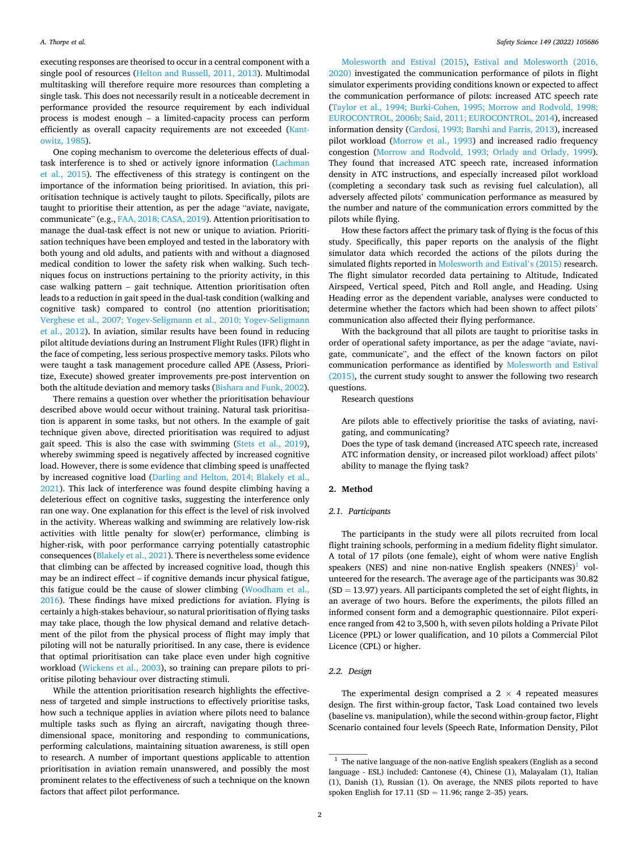<span id="page-1-0"></span>executing responses are theorised to occur in a central component with a single pool of resources [\(Helton and Russell, 2011, 2013\)](#page-5-0). Multimodal multitasking will therefore require more resources than completing a single task. This does not necessarily result in a noticeable decrement in performance provided the resource requirement by each individual process is modest enough – a limited-capacity process can perform efficiently as overall capacity requirements are not exceeded ([Kant](#page-5-0)[owitz, 1985\)](#page-5-0).

One coping mechanism to overcome the deleterious effects of dualtask interference is to shed or actively ignore information ([Lachman](#page-5-0)  [et al., 2015\)](#page-5-0). The effectiveness of this strategy is contingent on the importance of the information being prioritised. In aviation, this prioritisation technique is actively taught to pilots. Specifically, pilots are taught to prioritise their attention, as per the adage "aviate, navigate, communicate" (e.g., [FAA, 2018; CASA, 2019](#page-5-0)). Attention prioritisation to manage the dual-task effect is not new or unique to aviation. Prioritisation techniques have been employed and tested in the laboratory with both young and old adults, and patients with and without a diagnosed medical condition to lower the safety risk when walking. Such techniques focus on instructions pertaining to the priority activity, in this case walking pattern – gait technique. Attention prioritisation often leads to a reduction in gait speed in the dual-task condition (walking and cognitive task) compared to control (no attention prioritisation; [Verghese et al., 2007; Yogev-Seligmann et al., 2010; Yogev-Seligmann](#page-6-0)  [et al., 2012](#page-6-0)). In aviation, similar results have been found in reducing pilot altitude deviations during an Instrument Flight Rules (IFR) flight in the face of competing, less serious prospective memory tasks. Pilots who were taught a task management procedure called APE (Assess, Prioritize, Execute) showed greater improvements pre-post intervention on both the altitude deviation and memory tasks ([Bishara and Funk, 2002](#page-5-0)).

There remains a question over whether the prioritisation behaviour described above would occur without training. Natural task prioritisation is apparent in some tasks, but not others. In the example of gait technique given above, directed prioritisation was required to adjust gait speed. This is also the case with swimming ([Stets et al., 2019](#page-6-0)), whereby swimming speed is negatively affected by increased cognitive load. However, there is some evidence that climbing speed is unaffected by increased cognitive load [\(Darling and Helton, 2014; Blakely et al.,](#page-5-0)  [2021\)](#page-5-0). This lack of interference was found despite climbing having a deleterious effect on cognitive tasks, suggesting the interference only ran one way. One explanation for this effect is the level of risk involved in the activity. Whereas walking and swimming are relatively low-risk activities with little penalty for slow(er) performance, climbing is higher-risk, with poor performance carrying potentially catastrophic consequences [\(Blakely et al., 2021](#page-5-0)). There is nevertheless some evidence that climbing can be affected by increased cognitive load, though this may be an indirect effect – if cognitive demands incur physical fatigue, this fatigue could be the cause of slower climbing [\(Woodham et al.,](#page-6-0)  [2016\)](#page-6-0). These findings have mixed predictions for aviation. Flying is certainly a high-stakes behaviour, so natural prioritisation of flying tasks may take place, though the low physical demand and relative detachment of the pilot from the physical process of flight may imply that piloting will not be naturally prioritised. In any case, there is evidence that optimal prioritisation can take place even under high cognitive workload ([Wickens et al., 2003\)](#page-6-0), so training can prepare pilots to prioritise piloting behaviour over distracting stimuli.

While the attention prioritisation research highlights the effectiveness of targeted and simple instructions to effectively prioritise tasks, how such a technique applies in aviation where pilots need to balance multiple tasks such as flying an aircraft, navigating though threedimensional space, monitoring and responding to communications, performing calculations, maintaining situation awareness, is still open to research. A number of important questions applicable to attention prioritisation in aviation remain unanswered, and possibly the most prominent relates to the effectiveness of such a technique on the known factors that affect pilot performance.

[Molesworth and Estival \(2015\)](#page-5-0), [Estival and Molesworth \(2016,](#page-5-0)  [2020\)](#page-5-0) investigated the communication performance of pilots in flight simulator experiments providing conditions known or expected to affect the communication performance of pilots: increased ATC speech rate ([Taylor et al., 1994; Burki-Cohen, 1995; Morrow and Rodvold, 1998;](#page-6-0)  [EUROCONTROL, 2006b; Said, 2011; EUROCONTROL, 2014](#page-6-0)), increased information density [\(Cardosi, 1993; Barshi and Farris, 2013\)](#page-5-0), increased pilot workload [\(Morrow et al., 1993\)](#page-5-0) and increased radio frequency congestion [\(Morrow and Rodvold, 1993; Orlady and Orlady, 1999](#page-5-0)). They found that increased ATC speech rate, increased information density in ATC instructions, and especially increased pilot workload (completing a secondary task such as revising fuel calculation), all adversely affected pilots' communication performance as measured by the number and nature of the communication errors committed by the pilots while flying.

How these factors affect the primary task of flying is the focus of this study. Specifically, this paper reports on the analysis of the flight simulator data which recorded the actions of the pilots during the simulated flights reported in [Molesworth and Estival](#page-5-0)'s (2015) research. The flight simulator recorded data pertaining to Altitude, Indicated Airspeed, Vertical speed, Pitch and Roll angle, and Heading. Using Heading error as the dependent variable, analyses were conducted to determine whether the factors which had been shown to affect pilots' communication also affected their flying performance.

With the background that all pilots are taught to prioritise tasks in order of operational safety importance, as per the adage "aviate, navigate, communicate", and the effect of the known factors on pilot communication performance as identified by [Molesworth and Estival](#page-5-0)  [\(2015\),](#page-5-0) the current study sought to answer the following two research questions.

Research questions

Are pilots able to effectively prioritise the tasks of aviating, navigating, and communicating?

Does the type of task demand (increased ATC speech rate, increased ATC information density, or increased pilot workload) affect pilots' ability to manage the flying task?

## **2. Method**

#### *2.1. Participants*

The participants in the study were all pilots recruited from local flight training schools, performing in a medium fidelity flight simulator. A total of 17 pilots (one female), eight of whom were native English speakers (NES) and nine non-native English speakers  $(NNES)^1$  volunteered for the research. The average age of the participants was 30.82  $(SD = 13.97)$  years. All participants completed the set of eight flights, in an average of two hours. Before the experiments, the pilots filled an informed consent form and a demographic questionnaire. Pilot experience ranged from 42 to 3,500 h, with seven pilots holding a Private Pilot Licence (PPL) or lower qualification, and 10 pilots a Commercial Pilot Licence (CPL) or higher.

## *2.2. Design*

The experimental design comprised a  $2 \times 4$  repeated measures design. The first within-group factor, Task Load contained two levels (baseline vs. manipulation), while the second within-group factor, Flight Scenario contained four levels (Speech Rate, Information Density, Pilot

 $^{\rm 1}$  The native language of the non-native English speakers (English as a second language - ESL) included: Cantonese (4), Chinese (1), Malayalam (1), Italian (1), Danish (1), Russian (1). On average, the NNES pilots reported to have spoken English for  $17.11$  (SD = 11.96; range 2–35) years.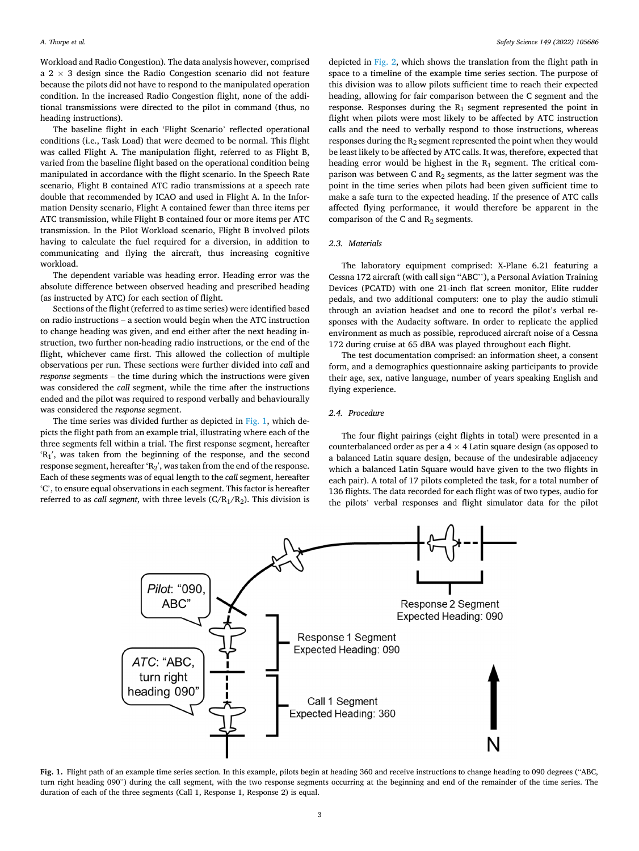Workload and Radio Congestion). The data analysis however, comprised a  $2 \times 3$  design since the Radio Congestion scenario did not feature because the pilots did not have to respond to the manipulated operation condition. In the increased Radio Congestion flight, none of the additional transmissions were directed to the pilot in command (thus, no heading instructions).

The baseline flight in each 'Flight Scenario' reflected operational conditions (i.e., Task Load) that were deemed to be normal. This flight was called Flight A. The manipulation flight, referred to as Flight B, varied from the baseline flight based on the operational condition being manipulated in accordance with the flight scenario. In the Speech Rate scenario, Flight B contained ATC radio transmissions at a speech rate double that recommended by ICAO and used in Flight A. In the Information Density scenario, Flight A contained fewer than three items per ATC transmission, while Flight B contained four or more items per ATC transmission. In the Pilot Workload scenario, Flight B involved pilots having to calculate the fuel required for a diversion, in addition to communicating and flying the aircraft, thus increasing cognitive workload.

The dependent variable was heading error. Heading error was the absolute difference between observed heading and prescribed heading (as instructed by ATC) for each section of flight.

Sections of the flight (referred to as time series) were identified based on radio instructions – a section would begin when the ATC instruction to change heading was given, and end either after the next heading instruction, two further non-heading radio instructions, or the end of the flight, whichever came first. This allowed the collection of multiple observations per run. These sections were further divided into *call* and *response* segments – the time during which the instructions were given was considered the *call* segment, while the time after the instructions ended and the pilot was required to respond verbally and behaviourally was considered the *response* segment.

The time series was divided further as depicted in Fig. 1, which depicts the flight path from an example trial, illustrating where each of the three segments fell within a trial. The first response segment, hereafter 'R<sub>1</sub>', was taken from the beginning of the response, and the second response segment, hereafter 'R<sub>2</sub>', was taken from the end of the response. Each of these segments was of equal length to the *call* segment, hereafter 'C', to ensure equal observations in each segment. This factor is hereafter referred to as *call segment*, with three levels  $(C/R_1/R_2)$ . This division is

depicted in [Fig. 2](#page-3-0), which shows the translation from the flight path in space to a timeline of the example time series section. The purpose of this division was to allow pilots sufficient time to reach their expected heading, allowing for fair comparison between the C segment and the response. Responses during the  $R_1$  segment represented the point in flight when pilots were most likely to be affected by ATC instruction calls and the need to verbally respond to those instructions, whereas responses during the R2 segment represented the point when they would be least likely to be affected by ATC calls. It was, therefore, expected that heading error would be highest in the  $R_1$  segment. The critical comparison was between C and  $R_2$  segments, as the latter segment was the point in the time series when pilots had been given sufficient time to make a safe turn to the expected heading. If the presence of ATC calls affected flying performance, it would therefore be apparent in the comparison of the C and  $R_2$  segments.

#### *2.3. Materials*

The laboratory equipment comprised: X-Plane 6.21 featuring a Cessna 172 aircraft (with call sign ''ABC''), a Personal Aviation Training Devices (PCATD) with one 21-inch flat screen monitor, Elite rudder pedals, and two additional computers: one to play the audio stimuli through an aviation headset and one to record the pilot's verbal responses with the Audacity software. In order to replicate the applied environment as much as possible, reproduced aircraft noise of a Cessna 172 during cruise at 65 dBA was played throughout each flight.

The test documentation comprised: an information sheet, a consent form, and a demographics questionnaire asking participants to provide their age, sex, native language, number of years speaking English and flying experience.

#### *2.4. Procedure*

The four flight pairings (eight flights in total) were presented in a counterbalanced order as per a  $4 \times 4$  Latin square design (as opposed to a balanced Latin square design, because of the undesirable adjacency which a balanced Latin Square would have given to the two flights in each pair). A total of 17 pilots completed the task, for a total number of 136 flights. The data recorded for each flight was of two types, audio for the pilots' verbal responses and flight simulator data for the pilot



**Fig. 1.** Flight path of an example time series section. In this example, pilots begin at heading 360 and receive instructions to change heading to 090 degrees ("ABC, turn right heading 090") during the call segment, with the two response segments occurring at the beginning and end of the remainder of the time series. The duration of each of the three segments (Call 1, Response 1, Response 2) is equal.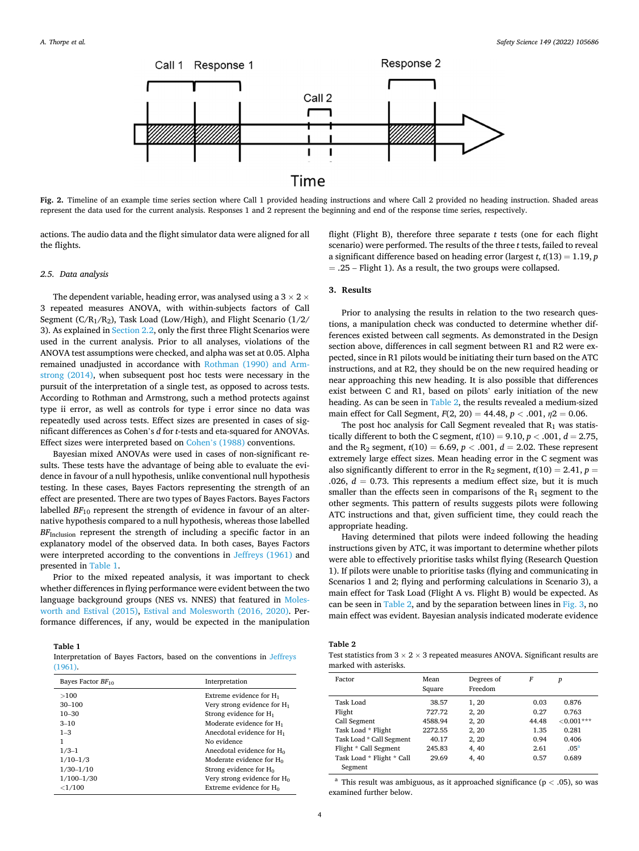<span id="page-3-0"></span>

**Fig. 2.** Timeline of an example time series section where Call 1 provided heading instructions and where Call 2 provided no heading instruction. Shaded areas represent the data used for the current analysis. Responses 1 and 2 represent the beginning and end of the response time series, respectively.

actions. The audio data and the flight simulator data were aligned for all the flights.

#### *2.5. Data analysis*

The dependent variable, heading error, was analysed using a  $3 \times 2 \times$ 3 repeated measures ANOVA, with within-subjects factors of Call Segment ( $C/R_1/R_2$ ), Task Load (Low/High), and Flight Scenario ( $1/2$ / 3). As explained in [Section 2.2](#page-1-0), only the first three Flight Scenarios were used in the current analysis. Prior to all analyses, violations of the ANOVA test assumptions were checked, and alpha was set at 0.05. Alpha remained unadjusted in accordance with [Rothman \(1990\) and Arm](#page-6-0)[strong \(2014\),](#page-6-0) when subsequent post hoc tests were necessary in the pursuit of the interpretation of a single test, as opposed to across tests. According to Rothman and Armstrong, such a method protects against type ii error, as well as controls for type i error since no data was repeatedly used across tests. Effect sizes are presented in cases of significant differences as Cohen's *d* for *t*-tests and eta-squared for ANOVAs. Effect sizes were interpreted based on Cohen'[s \(1988\)](#page-5-0) conventions.

Bayesian mixed ANOVAs were used in cases of non-significant results. These tests have the advantage of being able to evaluate the evidence in favour of a null hypothesis, unlike conventional null hypothesis testing. In these cases, Bayes Factors representing the strength of an effect are presented. There are two types of Bayes Factors. Bayes Factors labelled  $BF_{10}$  represent the strength of evidence in favour of an alternative hypothesis compared to a null hypothesis, whereas those labelled *BF*Inclusion represent the strength of including a specific factor in an explanatory model of the observed data. In both cases, Bayes Factors were interpreted according to the conventions in [Jeffreys \(1961\)](#page-5-0) and presented in Table 1.

Prior to the mixed repeated analysis, it was important to check whether differences in flying performance were evident between the two language background groups (NES vs. NNES) that featured in [Moles](#page-5-0)[worth and Estival \(2015\),](#page-5-0) [Estival and Molesworth \(2016, 2020\)](#page-5-0). Performance differences, if any, would be expected in the manipulation

**Table 1** 

Interpretation of Bayes Factors, based on the conventions in [Jeffreys](#page-5-0) [\(1961\).](#page-5-0)

| Bayes Factor $BF_{10}$ | Interpretation                        |  |
|------------------------|---------------------------------------|--|
| >100                   | Extreme evidence for $H_1$            |  |
| $30 - 100$             | Very strong evidence for $H_1$        |  |
| $10 - 30$              | Strong evidence for $H_1$             |  |
| $3 - 10$               | Moderate evidence for $H_1$           |  |
| $1 - 3$                | Anecdotal evidence for H <sub>1</sub> |  |
| 1                      | No evidence                           |  |
| $1/3-1$                | Anecdotal evidence for H <sub>0</sub> |  |
| $1/10-1/3$             | Moderate evidence for $H_0$           |  |
| $1/30 - 1/10$          | Strong evidence for $H_0$             |  |
| $1/100 - 1/30$         | Very strong evidence for $H_0$        |  |
| ${<}1/100$             | Extreme evidence for $H_0$            |  |

flight (Flight B), therefore three separate *t* tests (one for each flight scenario) were performed. The results of the three *t* tests, failed to reveal a significant difference based on heading error (largest *t*, *t*(13) = 1.19, *p*   $=$  .25 – Flight 1). As a result, the two groups were collapsed.

## **3. Results**

Prior to analysing the results in relation to the two research questions, a manipulation check was conducted to determine whether differences existed between call segments. As demonstrated in the Design section above, differences in call segment between R1 and R2 were expected, since in R1 pilots would be initiating their turn based on the ATC instructions, and at R2, they should be on the new required heading or near approaching this new heading. It is also possible that differences exist between C and R1, based on pilots' early initiation of the new heading. As can be seen in Table 2, the results revealed a medium-sized main effect for Call Segment,  $F(2, 20) = 44.48$ ,  $p < .001$ ,  $p2 = 0.06$ .

The post hoc analysis for Call Segment revealed that  $R_1$  was statistically different to both the C segment,  $t(10) = 9.10$ ,  $p < .001$ ,  $d = 2.75$ , and the R<sub>2</sub> segment,  $t(10) = 6.69, p < .001, d = 2.02$ . These represent extremely large effect sizes. Mean heading error in the C segment was also significantly different to error in the  $R_2$  segment,  $t(10) = 2.41$ ,  $p =$ .026,  $d = 0.73$ . This represents a medium effect size, but it is much smaller than the effects seen in comparisons of the  $R_1$  segment to the other segments. This pattern of results suggests pilots were following ATC instructions and that, given sufficient time, they could reach the appropriate heading.

Having determined that pilots were indeed following the heading instructions given by ATC, it was important to determine whether pilots were able to effectively prioritise tasks whilst flying (Research Question 1). If pilots were unable to prioritise tasks (flying and communicating in Scenarios 1 and 2; flying and performing calculations in Scenario 3), a main effect for Task Load (Flight A vs. Flight B) would be expected. As can be seen in Table 2, and by the separation between lines in [Fig. 3,](#page-4-0) no main effect was evident. Bayesian analysis indicated moderate evidence

**Table 2** 

Test statistics from  $3 \times 2 \times 3$  repeated measures ANOVA. Significant results are marked with asterisks.

| Factor                    | Mean<br>Square | Degrees of<br>Freedom | F     | p                |
|---------------------------|----------------|-----------------------|-------|------------------|
| Task Load                 | 38.57          | 1, 20                 | 0.03  | 0.876            |
| Flight                    | 727.72         | 2, 20                 | 0.27  | 0.763            |
| Call Segment              | 4588.94        | 2, 20                 | 44.48 | ${<}0.001***$    |
| Task Load * Flight        | 2272.55        | 2, 20                 | 1.35  | 0.281            |
| Task Load * Call Segment  | 40.17          | 2, 20                 | 0.94  | 0.406            |
| Flight * Call Segment     | 245.83         | 4, 40                 | 2.61  | .05 <sup>a</sup> |
| Task Load * Flight * Call | 29.69          | 4, 40                 | 0.57  | 0.689            |
| Segment                   |                |                       |       |                  |

<sup>a</sup> This result was ambiguous, as it approached significance (p *<* .05), so was examined further below.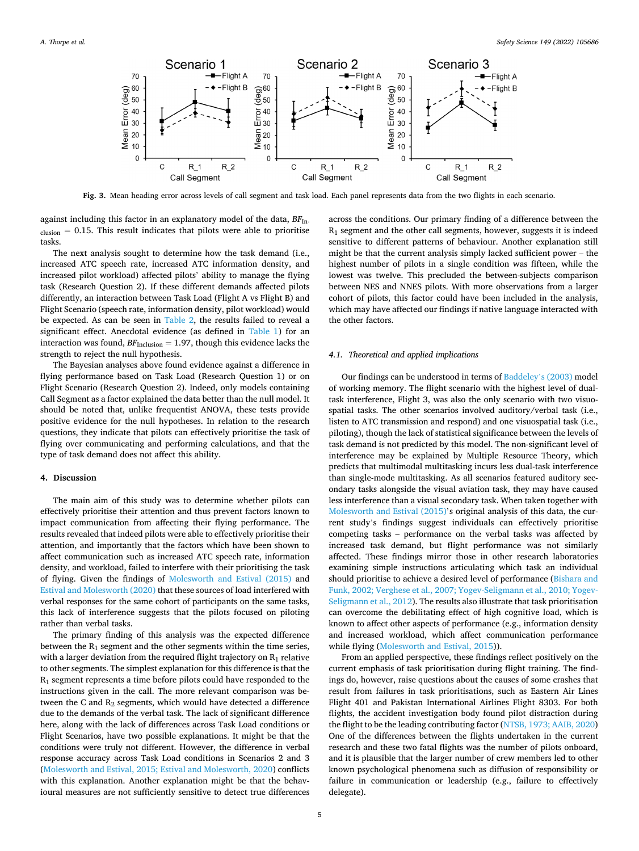<span id="page-4-0"></span>

**Fig. 3.** Mean heading error across levels of call segment and task load. Each panel represents data from the two flights in each scenario.

against including this factor in an explanatory model of the data,  $BF_{\text{In-}}$  $_{\text{clusion}} = 0.15$ . This result indicates that pilots were able to prioritise tasks.

The next analysis sought to determine how the task demand (i.e., increased ATC speech rate, increased ATC information density, and increased pilot workload) affected pilots' ability to manage the flying task (Research Question 2). If these different demands affected pilots differently, an interaction between Task Load (Flight A vs Flight B) and Flight Scenario (speech rate, information density, pilot workload) would be expected. As can be seen in [Table 2,](#page-3-0) the results failed to reveal a significant effect. Anecdotal evidence (as defined in [Table 1\)](#page-3-0) for an interaction was found,  $BF_{\text{Inclusion}} = 1.97$ , though this evidence lacks the strength to reject the null hypothesis.

The Bayesian analyses above found evidence against a difference in flying performance based on Task Load (Research Question 1) or on Flight Scenario (Research Question 2). Indeed, only models containing Call Segment as a factor explained the data better than the null model. It should be noted that, unlike frequentist ANOVA, these tests provide positive evidence for the null hypotheses. In relation to the research questions, they indicate that pilots can effectively prioritise the task of flying over communicating and performing calculations, and that the type of task demand does not affect this ability.

#### **4. Discussion**

The main aim of this study was to determine whether pilots can effectively prioritise their attention and thus prevent factors known to impact communication from affecting their flying performance. The results revealed that indeed pilots were able to effectively prioritise their attention, and importantly that the factors which have been shown to affect communication such as increased ATC speech rate, information density, and workload, failed to interfere with their prioritising the task of flying. Given the findings of [Molesworth and Estival \(2015\)](#page-5-0) and [Estival and Molesworth \(2020\)](#page-5-0) that these sources of load interfered with verbal responses for the same cohort of participants on the same tasks, this lack of interference suggests that the pilots focused on piloting rather than verbal tasks.

The primary finding of this analysis was the expected difference between the  $R_1$  segment and the other segments within the time series, with a larger deviation from the required flight trajectory on  $R_1$  relative to other segments. The simplest explanation for this difference is that the  $R_1$  segment represents a time before pilots could have responded to the instructions given in the call. The more relevant comparison was between the C and  $R_2$  segments, which would have detected a difference due to the demands of the verbal task. The lack of significant difference here, along with the lack of differences across Task Load conditions or Flight Scenarios, have two possible explanations. It might be that the conditions were truly not different. However, the difference in verbal response accuracy across Task Load conditions in Scenarios 2 and 3 ([Molesworth and Estival, 2015; Estival and Molesworth, 2020](#page-5-0)) conflicts with this explanation. Another explanation might be that the behavioural measures are not sufficiently sensitive to detect true differences

across the conditions. Our primary finding of a difference between the R1 segment and the other call segments, however, suggests it is indeed sensitive to different patterns of behaviour. Another explanation still might be that the current analysis simply lacked sufficient power – the highest number of pilots in a single condition was fifteen, while the lowest was twelve. This precluded the between-subjects comparison between NES and NNES pilots. With more observations from a larger cohort of pilots, this factor could have been included in the analysis, which may have affected our findings if native language interacted with the other factors.

#### *4.1. Theoretical and applied implications*

Our findings can be understood in terms of [Baddeley](#page-5-0)'s (2003) model of working memory. The flight scenario with the highest level of dualtask interference, Flight 3, was also the only scenario with two visuospatial tasks. The other scenarios involved auditory/verbal task (i.e., listen to ATC transmission and respond) and one visuospatial task (i.e., piloting), though the lack of statistical significance between the levels of task demand is not predicted by this model. The non-significant level of interference may be explained by Multiple Resource Theory, which predicts that multimodal multitasking incurs less dual-task interference than single-mode multitasking. As all scenarios featured auditory secondary tasks alongside the visual aviation task, they may have caused less interference than a visual secondary task. When taken together with [Molesworth and Estival \(2015\)](#page-5-0)'s original analysis of this data, the current study's findings suggest individuals can effectively prioritise competing tasks – performance on the verbal tasks was affected by increased task demand, but flight performance was not similarly affected. These findings mirror those in other research laboratories examining simple instructions articulating which task an individual should prioritise to achieve a desired level of performance [\(Bishara and](#page-5-0)  [Funk, 2002; Verghese et al., 2007; Yogev-Seligmann et al., 2010; Yogev-](#page-5-0)[Seligmann et al., 2012](#page-5-0)). The results also illustrate that task prioritisation can overcome the debilitating effect of high cognitive load, which is known to affect other aspects of performance (e.g., information density and increased workload, which affect communication performance while flying [\(Molesworth and Estival, 2015\)](#page-5-0)).

From an applied perspective, these findings reflect positively on the current emphasis of task prioritisation during flight training. The findings do, however, raise questions about the causes of some crashes that result from failures in task prioritisations, such as Eastern Air Lines Flight 401 and Pakistan International Airlines Flight 8303. For both flights, the accident investigation body found pilot distraction during the flight to be the leading contributing factor [\(NTSB, 1973; AAIB, 2020\)](#page-6-0) One of the differences between the flights undertaken in the current research and these two fatal flights was the number of pilots onboard, and it is plausible that the larger number of crew members led to other known psychological phenomena such as diffusion of responsibility or failure in communication or leadership (e.g., failure to effectively delegate).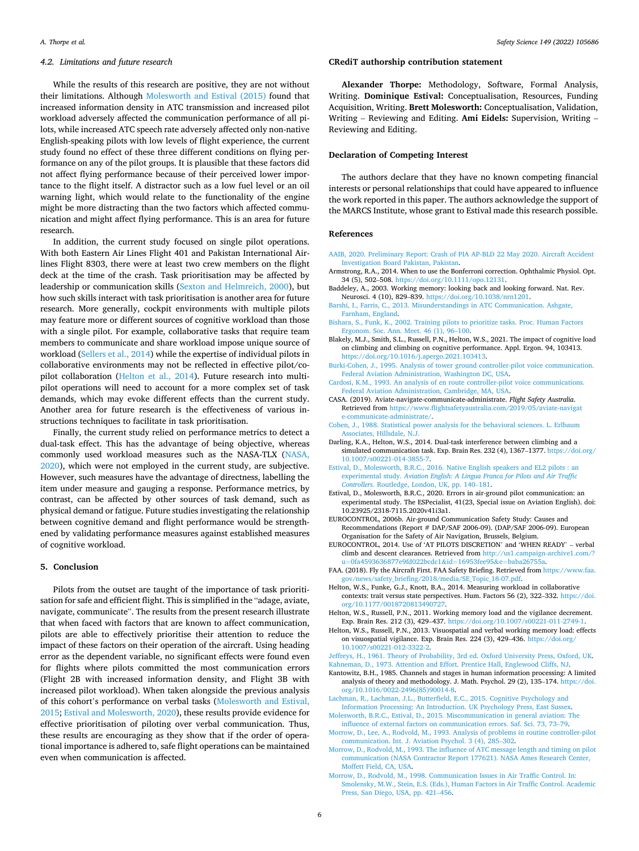## <span id="page-5-0"></span>*4.2. Limitations and future research*

While the results of this research are positive, they are not without their limitations. Although Molesworth and Estival (2015) found that increased information density in ATC transmission and increased pilot workload adversely affected the communication performance of all pilots, while increased ATC speech rate adversely affected only non-native English-speaking pilots with low levels of flight experience, the current study found no effect of these three different conditions on flying performance on any of the pilot groups. It is plausible that these factors did not affect flying performance because of their perceived lower importance to the flight itself. A distractor such as a low fuel level or an oil warning light, which would relate to the functionality of the engine might be more distracting than the two factors which affected communication and might affect flying performance. This is an area for future research.

In addition, the current study focused on single pilot operations. With both Eastern Air Lines Flight 401 and Pakistan International Airlines Flight 8303, there were at least two crew members on the flight deck at the time of the crash. Task prioritisation may be affected by leadership or communication skills ([Sexton and Helmreich, 2000](#page-6-0)), but how such skills interact with task prioritisation is another area for future research. More generally, cockpit environments with multiple pilots may feature more or different sources of cognitive workload than those with a single pilot. For example, collaborative tasks that require team members to communicate and share workload impose unique source of workload ([Sellers et al., 2014](#page-6-0)) while the expertise of individual pilots in collaborative environments may not be reflected in effective pilot/copilot collaboration (Helton et al., 2014). Future research into multipilot operations will need to account for a more complex set of task demands, which may evoke different effects than the current study. Another area for future research is the effectiveness of various instructions techniques to facilitate in task prioritisation.

Finally, the current study relied on performance metrics to detect a dual-task effect. This has the advantage of being objective, whereas commonly used workload measures such as the NASA-TLX ([NASA,](#page-6-0)  [2020\)](#page-6-0), which were not employed in the current study, are subjective. However, such measures have the advantage of directness, labelling the item under measure and gauging a response. Performance metrics, by contrast, can be affected by other sources of task demand, such as physical demand or fatigue. Future studies investigating the relationship between cognitive demand and flight performance would be strengthened by validating performance measures against established measures of cognitive workload.

#### **5. Conclusion**

Pilots from the outset are taught of the importance of task prioritisation for safe and efficient flight. This is simplified in the "adage, aviate, navigate, communicate". The results from the present research illustrate that when faced with factors that are known to affect communication, pilots are able to effectively prioritise their attention to reduce the impact of these factors on their operation of the aircraft. Using heading error as the dependent variable, no significant effects were found even for flights where pilots committed the most communication errors (Flight 2B with increased information density, and Flight 3B with increased pilot workload). When taken alongside the previous analysis of this cohort's performance on verbal tasks (Molesworth and Estival, 2015; Estival and Molesworth, 2020), these results provide evidence for effective prioritisation of piloting over verbal communication. Thus, these results are encouraging as they show that if the order of operational importance is adhered to, safe flight operations can be maintained even when communication is affected.

## **CRediT authorship contribution statement**

**Alexander Thorpe:** Methodology, Software, Formal Analysis, Writing. **Dominique Estival:** Conceptualisation, Resources, Funding Acquisition, Writing. **Brett Molesworth:** Conceptualisation, Validation, Writing – Reviewing and Editing. **Ami Eidels:** Supervision, Writing – Reviewing and Editing.

#### **Declaration of Competing Interest**

The authors declare that they have no known competing financial interests or personal relationships that could have appeared to influence the work reported in this paper. The authors acknowledge the support of the MARCS Institute, whose grant to Estival made this research possible.

#### **References**

- [AAIB, 2020. Preliminary Report: Crash of PIA AP-BLD 22 May 2020. Aircraft Accident](http://refhub.elsevier.com/S0925-7535(22)00026-1/h0005)  [Investigation Board Pakistan, Pakistan.](http://refhub.elsevier.com/S0925-7535(22)00026-1/h0005)
- Armstrong, R.A., 2014. When to use the Bonferroni correction. Ophthalmic Physiol. Opt. 34 (5), 502–508. [https://doi.org/10.1111/opo.12131.](https://doi.org/10.1111/opo.12131)
- Baddeley, A., 2003. Working memory: looking back and looking forward. Nat. Rev. Neurosci. 4 (10), 829–839.<https://doi.org/10.1038/nrn1201>.
- [Barshi, I., Farris, C., 2013. Misunderstandings in ATC Communication. Ashgate,](http://refhub.elsevier.com/S0925-7535(22)00026-1/h0020) [Farnham, England.](http://refhub.elsevier.com/S0925-7535(22)00026-1/h0020)
- [Bishara, S., Funk, K., 2002. Training pilots to prioritize tasks. Proc. Human Factors](http://refhub.elsevier.com/S0925-7535(22)00026-1/h0025)  [Ergonom. Soc. Ann. Meet. 46 \(1\), 96](http://refhub.elsevier.com/S0925-7535(22)00026-1/h0025)–100.
- Blakely, M.J., Smith, S.L., Russell, P.N., Helton, W.S., 2021. The impact of cognitive load on climbing and climbing on cognitive performance. Appl. Ergon. 94, 103413. [https://doi.org/10.1016/j.apergo.2021.103413.](https://doi.org/10.1016/j.apergo.2021.103413)
- [Burki-Cohen, J., 1995. Analysis of tower ground controller-pilot voice communication.](http://refhub.elsevier.com/S0925-7535(22)00026-1/h0035) [Federal Aviation Administration, Washington DC, USA](http://refhub.elsevier.com/S0925-7535(22)00026-1/h0035).
- [Cardosi, K.M., 1993. An analysis of en route controller-pilot voice communications.](http://refhub.elsevier.com/S0925-7535(22)00026-1/h0040) [Federal Aviation Administration, Cambridge, MA, USA.](http://refhub.elsevier.com/S0925-7535(22)00026-1/h0040)
- CASA. (2019). Aviate-navigate-communicate-administrate. *Flight Safety Australia*. Retrieved from [https://www.flightsafetyaustralia.com/2019/05/aviate-navigat](https://www.flightsafetyaustralia.com/2019/05/aviate-navigate-communicate-administrate/)  [e-communicate-administrate/](https://www.flightsafetyaustralia.com/2019/05/aviate-navigate-communicate-administrate/).
- [Cohen, J., 1988. Statistical power analysis for the behavioral sciences. L. Erlbaum](http://refhub.elsevier.com/S0925-7535(22)00026-1/h0050)  [Associates, Hillsdale, N.J.](http://refhub.elsevier.com/S0925-7535(22)00026-1/h0050)
- Darling, K.A., Helton, W.S., 2014. Dual-task interference between climbing and a simulated communication task. Exp. Brain Res. 232 (4), 1367-1377. https://doi.org/ [10.1007/s00221-014-3855-7](https://doi.org/10.1007/s00221-014-3855-7).
- [Estival, D., Molesworth, B.R.C., 2016. Native English speakers and EL2 pilots : an](http://refhub.elsevier.com/S0925-7535(22)00026-1/optMdu8HPtNv1)  experimental study. *[Aviation English: A Lingua Franca for Pilots and Air Traffic](http://refhub.elsevier.com/S0925-7535(22)00026-1/optMdu8HPtNv1) Controllers*[. Routledge, London, UK, pp. 140](http://refhub.elsevier.com/S0925-7535(22)00026-1/optMdu8HPtNv1)–181.
- Estival, D., Molesworth, B.R.C., 2020. Errors in air-ground pilot communication: an experimental study. The ESPecialist, 41(23, Special issue on Aviation English). doi: 10.23925/2318-7115.2020v41i3a1.
- EUROCONTROL, 2006b. Air-ground Communication Safety Study: Causes and Recommendations (Report # DAP/SAF 2006-09). (DAP/SAF 2006-09). European Organisation for the Safety of Air Navigation, Brussels, Belgium.
- EUROCONTROL, 2014. Use of 'AT PILOTS DISCRETION' and 'WHEN READY' verbal climb and descent clearances. Retrieved from [http://us1.campaign-archive1.com/?](http://us1.campaign-archive1.com/?u=0fa4593636877e9fd022bcdc1%26id=16953fee95%26e=baba26755a)  u=[0fa4593636877e9fd022bcdc1](http://us1.campaign-archive1.com/?u=0fa4593636877e9fd022bcdc1%26id=16953fee95%26e=baba26755a)&id=16953fee95&e=baba26755a.
- FAA. (2018). Fly the Aircraft First. FAA Safety Briefing. Retrieved from [https://www.faa.](https://www.faa.gov/news/safety_briefing/2018/media/SE_Topic_18-07.pdf)  [gov/news/safety\\_briefing/2018/media/SE\\_Topic\\_18-07.pdf.](https://www.faa.gov/news/safety_briefing/2018/media/SE_Topic_18-07.pdf)
- Helton, W.S., Funke, G.J., Knott, B.A., 2014. Measuring workload in collaborative contexts: trait versus state perspectives. Hum. Factors 56 (2), 322–332. [https://doi.](https://doi.org/10.1177/0018720813490727)  [org/10.1177/0018720813490727.](https://doi.org/10.1177/0018720813490727)
- Helton, W.S., Russell, P.N., 2011. Working memory load and the vigilance decrement. Exp. Brain Res. 212 (3), 429–437. [https://doi.org/10.1007/s00221-011-2749-1.](https://doi.org/10.1007/s00221-011-2749-1)
- Helton, W.S., Russell, P.N., 2013. Visuospatial and verbal working memory load: effects on visuospatial vigilance. Exp. Brain Res. 224 (3), 429–436. [https://doi.org/](https://doi.org/10.1007/s00221-012-3322-2) [10.1007/s00221-012-3322-2](https://doi.org/10.1007/s00221-012-3322-2).

[Jeffreys, H., 1961. Theory of Probability, 3rd ed. Oxford University Press, Oxford, UK.](http://refhub.elsevier.com/S0925-7535(22)00026-1/h0095) [Kahneman, D., 1973. Attention and Effort. Prentice Hall, Englewood Cliffs, NJ](http://refhub.elsevier.com/S0925-7535(22)00026-1/h0100).

- Kantowitz, B.H., 1985. Channels and stages in human information processing: A limited analysis of theory and methodology. J. Math. Psychol. 29 (2), 135–174. [https://doi.](https://doi.org/10.1016/0022-2496(85)90014-8)  [org/10.1016/0022-2496\(85\)90014-8.](https://doi.org/10.1016/0022-2496(85)90014-8)
- [Lachman, R., Lachman, J.L., Butterfield, E.C., 2015. Cognitive Psychology and](http://refhub.elsevier.com/S0925-7535(22)00026-1/h0110) [Information Processing: An Introduction. UK Psychology Press, East Sussex](http://refhub.elsevier.com/S0925-7535(22)00026-1/h0110).
- [Molesworth, B.R.C., Estival, D., 2015. Miscommunication in general aviation: The](http://refhub.elsevier.com/S0925-7535(22)00026-1/h0115)  [influence of external factors on communication errors. Saf. Sci. 73, 73](http://refhub.elsevier.com/S0925-7535(22)00026-1/h0115)–79.
- [Morrow, D., Lee, A., Rodvold, M., 1993. Analysis of problems in routine controller-pilot](http://refhub.elsevier.com/S0925-7535(22)00026-1/h0120)  [communication. Int. J. Aviation Psychol. 3 \(4\), 285](http://refhub.elsevier.com/S0925-7535(22)00026-1/h0120)–302.
- [Morrow, D., Rodvold, M., 1993. The influence of ATC message length and timing on pilot](http://refhub.elsevier.com/S0925-7535(22)00026-1/h0125)  [communication \(NASA Contractor Report 177621\). NASA Ames Research Center,](http://refhub.elsevier.com/S0925-7535(22)00026-1/h0125)  [Moffett Field, CA, USA.](http://refhub.elsevier.com/S0925-7535(22)00026-1/h0125)
- [Morrow, D., Rodvold, M., 1998. Communication Issues in Air Traffic Control. In:](http://refhub.elsevier.com/S0925-7535(22)00026-1/h0130)  [Smolensky, M.W., Stein, E.S. \(Eds.\), Human Factors in Air Traffic Control. Academic](http://refhub.elsevier.com/S0925-7535(22)00026-1/h0130)  [Press, San Diego, USA, pp. 421](http://refhub.elsevier.com/S0925-7535(22)00026-1/h0130)–456.